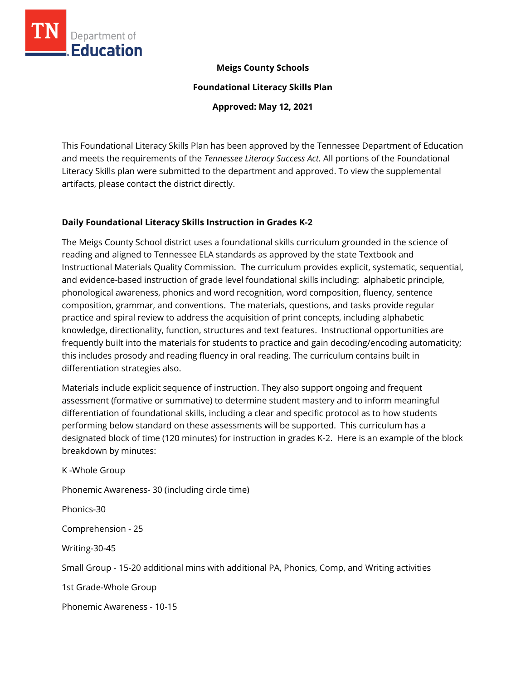

## **Meigs County Schools**

**Foundational Literacy Skills Plan**

**Approved: May 12, 2021**

This Foundational Literacy Skills Plan has been approved by the Tennessee Department of Education and meets the requirements of the *Tennessee Literacy Success Act.* All portions of the Foundational Literacy Skills plan were submitted to the department and approved. To view the supplemental artifacts, please contact the district directly.

## **Daily Foundational Literacy Skills Instruction in Grades K-2**

The Meigs County School district uses a foundational skills curriculum grounded in the science of reading and aligned to Tennessee ELA standards as approved by the state Textbook and Instructional Materials Quality Commission. The curriculum provides explicit, systematic, sequential, and evidence-based instruction of grade level foundational skills including: alphabetic principle, phonological awareness, phonics and word recognition, word composition, fluency, sentence composition, grammar, and conventions. The materials, questions, and tasks provide regular practice and spiral review to address the acquisition of print concepts, including alphabetic knowledge, directionality, function, structures and text features. Instructional opportunities are frequently built into the materials for students to practice and gain decoding/encoding automaticity; this includes prosody and reading fluency in oral reading. The curriculum contains built in differentiation strategies also.

Materials include explicit sequence of instruction. They also support ongoing and frequent assessment (formative or summative) to determine student mastery and to inform meaningful differentiation of foundational skills, including a clear and specific protocol as to how students performing below standard on these assessments will be supported. This curriculum has a designated block of time (120 minutes) for instruction in grades K-2. Here is an example of the block breakdown by minutes:

K -Whole Group Phonemic Awareness- 30 (including circle time) Phonics-30 Comprehension - 25 Writing-30-45 Small Group - 15-20 additional mins with additional PA, Phonics, Comp, and Writing activities 1st Grade-Whole Group Phonemic Awareness - 10-15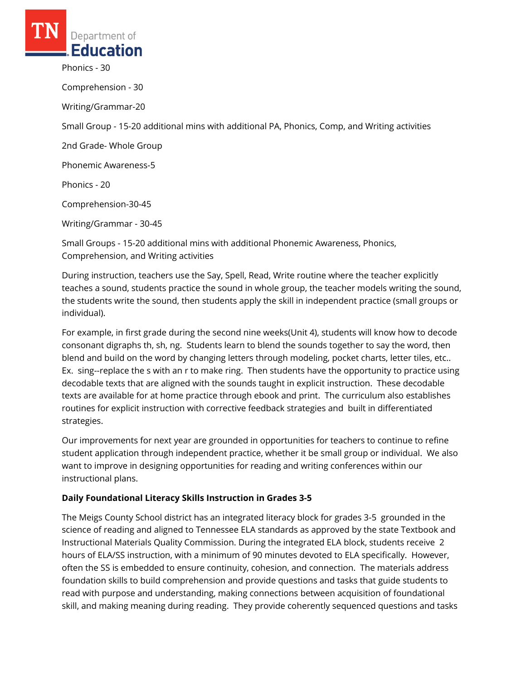individual).

Phonics - 30 Comprehension - 30 Writing/Grammar-20 Small Group - 15-20 additional mins with additional PA, Phonics, Comp, and Writing activities 2nd Grade- Whole Group Phonemic Awareness-5 Phonics - 20 Comprehension-30-45 Writing/Grammar - 30-45 Small Groups - 15-20 additional mins with additional Phonemic Awareness, Phonics, Comprehension, and Writing activities

During instruction, teachers use the Say, Spell, Read, Write routine where the teacher explicitly teaches a sound, students practice the sound in whole group, the teacher models writing the sound, the students write the sound, then students apply the skill in independent practice (small groups or

For example, in first grade during the second nine weeks(Unit 4), students will know how to decode consonant digraphs th, sh, ng. Students learn to blend the sounds together to say the word, then blend and build on the word by changing letters through modeling, pocket charts, letter tiles, etc.. Ex. sing--replace the s with an r to make ring. Then students have the opportunity to practice using decodable texts that are aligned with the sounds taught in explicit instruction. These decodable texts are available for at home practice through ebook and print. The curriculum also establishes routines for explicit instruction with corrective feedback strategies and built in differentiated strategies.

Our improvements for next year are grounded in opportunities for teachers to continue to refine student application through independent practice, whether it be small group or individual. We also want to improve in designing opportunities for reading and writing conferences within our instructional plans.

## **Daily Foundational Literacy Skills Instruction in Grades 3-5**

The Meigs County School district has an integrated literacy block for grades 3-5 grounded in the science of reading and aligned to Tennessee ELA standards as approved by the state Textbook and Instructional Materials Quality Commission. During the integrated ELA block, students receive 2 hours of ELA/SS instruction, with a minimum of 90 minutes devoted to ELA specifically. However, often the SS is embedded to ensure continuity, cohesion, and connection. The materials address foundation skills to build comprehension and provide questions and tasks that guide students to read with purpose and understanding, making connections between acquisition of foundational skill, and making meaning during reading. They provide coherently sequenced questions and tasks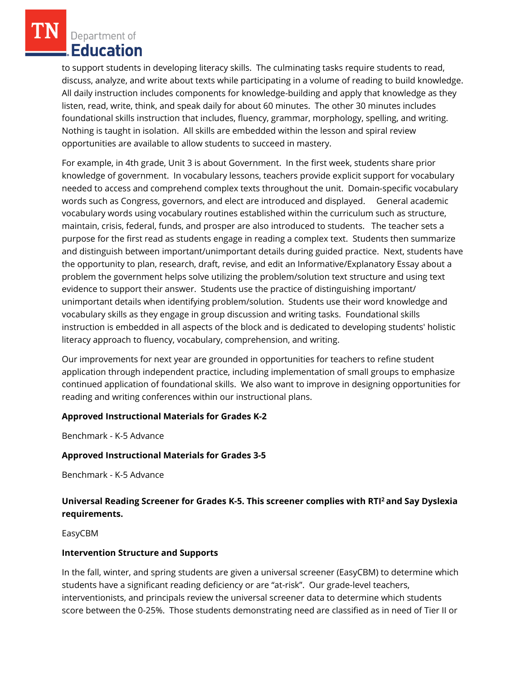to support students in developing literacy skills. The culminating tasks require students to read, discuss, analyze, and write about texts while participating in a volume of reading to build knowledge. All daily instruction includes components for knowledge-building and apply that knowledge as they listen, read, write, think, and speak daily for about 60 minutes. The other 30 minutes includes foundational skills instruction that includes, fluency, grammar, morphology, spelling, and writing. Nothing is taught in isolation. All skills are embedded within the lesson and spiral review opportunities are available to allow students to succeed in mastery.

For example, in 4th grade, Unit 3 is about Government. In the first week, students share prior knowledge of government. In vocabulary lessons, teachers provide explicit support for vocabulary needed to access and comprehend complex texts throughout the unit. Domain‑specific vocabulary words such as Congress, governors, and elect are introduced and displayed. General academic vocabulary words using vocabulary routines established within the curriculum such as structure, maintain, crisis, federal, funds, and prosper are also introduced to students. The teacher sets a purpose for the first read as students engage in reading a complex text. Students then summarize and distinguish between important/unimportant details during guided practice. Next, students have the opportunity to plan, research, draft, revise, and edit an Informative/Explanatory Essay about a problem the government helps solve utilizing the problem/solution text structure and using text evidence to support their answer. Students use the practice of distinguishing important/ unimportant details when identifying problem/solution. Students use their word knowledge and vocabulary skills as they engage in group discussion and writing tasks. Foundational skills instruction is embedded in all aspects of the block and is dedicated to developing students' holistic literacy approach to fluency, vocabulary, comprehension, and writing.

Our improvements for next year are grounded in opportunities for teachers to refine student application through independent practice, including implementation of small groups to emphasize continued application of foundational skills. We also want to improve in designing opportunities for reading and writing conferences within our instructional plans.

## **Approved Instructional Materials for Grades K-2**

Benchmark - K-5 Advance

#### **Approved Instructional Materials for Grades 3-5**

Benchmark - K-5 Advance

# **Universal Reading Screener for Grades K-5. This screener complies with RTI<sup>2</sup>and Say Dyslexia requirements.**

EasyCBM

#### **Intervention Structure and Supports**

In the fall, winter, and spring students are given a universal screener (EasyCBM) to determine which students have a significant reading deficiency or are "at-risk". Our grade-level teachers, interventionists, and principals review the universal screener data to determine which students score between the 0-25%. Those students demonstrating need are classified as in need of Tier II or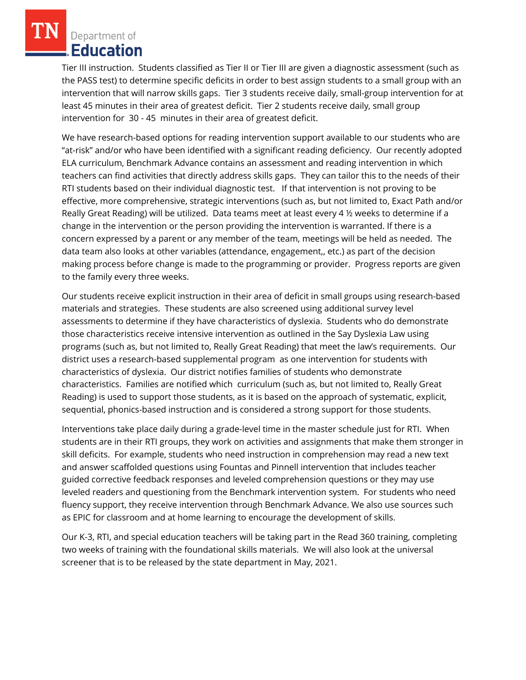Tier III instruction. Students classified as Tier II or Tier III are given a diagnostic assessment (such as the PASS test) to determine specific deficits in order to best assign students to a small group with an intervention that will narrow skills gaps. Tier 3 students receive daily, small-group intervention for at least 45 minutes in their area of greatest deficit. Tier 2 students receive daily, small group intervention for 30 - 45 minutes in their area of greatest deficit.

We have research-based options for reading intervention support available to our students who are "at-risk" and/or who have been identified with a significant reading deficiency. Our recently adopted ELA curriculum, Benchmark Advance contains an assessment and reading intervention in which teachers can find activities that directly address skills gaps. They can tailor this to the needs of their RTI students based on their individual diagnostic test. If that intervention is not proving to be effective, more comprehensive, strategic interventions (such as, but not limited to, Exact Path and/or Really Great Reading) will be utilized. Data teams meet at least every 4 ½ weeks to determine if a change in the intervention or the person providing the intervention is warranted. If there is a concern expressed by a parent or any member of the team, meetings will be held as needed. The data team also looks at other variables (attendance, engagement,, etc.) as part of the decision making process before change is made to the programming or provider. Progress reports are given to the family every three weeks.

Our students receive explicit instruction in their area of deficit in small groups using research-based materials and strategies. These students are also screened using additional survey level assessments to determine if they have characteristics of dyslexia. Students who do demonstrate those characteristics receive intensive intervention as outlined in the Say Dyslexia Law using programs (such as, but not limited to, Really Great Reading) that meet the law's requirements. Our district uses a research-based supplemental program as one intervention for students with characteristics of dyslexia. Our district notifies families of students who demonstrate characteristics. Families are notified which curriculum (such as, but not limited to, Really Great Reading) is used to support those students, as it is based on the approach of systematic, explicit, sequential, phonics-based instruction and is considered a strong support for those students.

Interventions take place daily during a grade-level time in the master schedule just for RTI. When students are in their RTI groups, they work on activities and assignments that make them stronger in skill deficits. For example, students who need instruction in comprehension may read a new text and answer scaffolded questions using Fountas and Pinnell intervention that includes teacher guided corrective feedback responses and leveled comprehension questions or they may use leveled readers and questioning from the Benchmark intervention system. For students who need fluency support, they receive intervention through Benchmark Advance. We also use sources such as EPIC for classroom and at home learning to encourage the development of skills.

Our K-3, RTI, and special education teachers will be taking part in the Read 360 training, completing two weeks of training with the foundational skills materials. We will also look at the universal screener that is to be released by the state department in May, 2021.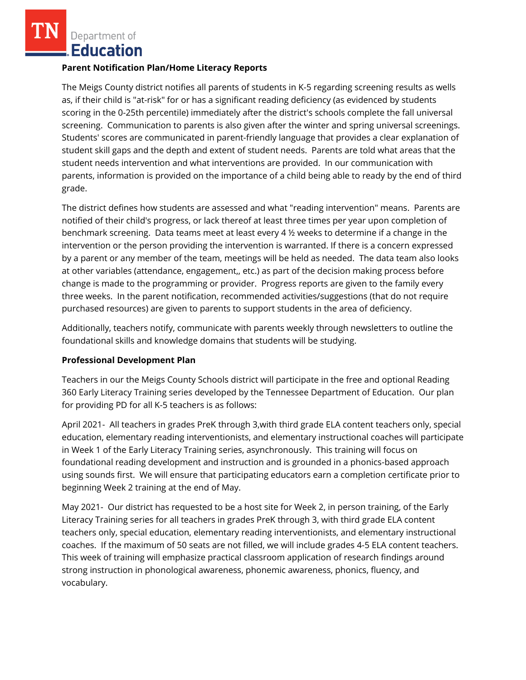### **Parent Notification Plan/Home Literacy Reports**

The Meigs County district notifies all parents of students in K-5 regarding screening results as wells as, if their child is "at-risk" for or has a significant reading deficiency (as evidenced by students scoring in the 0-25th percentile) immediately after the district's schools complete the fall universal screening. Communication to parents is also given after the winter and spring universal screenings. Students' scores are communicated in parent-friendly language that provides a clear explanation of student skill gaps and the depth and extent of student needs. Parents are told what areas that the student needs intervention and what interventions are provided. In our communication with parents, information is provided on the importance of a child being able to ready by the end of third grade.

The district defines how students are assessed and what "reading intervention" means. Parents are notified of their child's progress, or lack thereof at least three times per year upon completion of benchmark screening. Data teams meet at least every 4 ½ weeks to determine if a change in the intervention or the person providing the intervention is warranted. If there is a concern expressed by a parent or any member of the team, meetings will be held as needed. The data team also looks at other variables (attendance, engagement,, etc.) as part of the decision making process before change is made to the programming or provider. Progress reports are given to the family every three weeks. In the parent notification, recommended activities/suggestions (that do not require purchased resources) are given to parents to support students in the area of deficiency.

Additionally, teachers notify, communicate with parents weekly through newsletters to outline the foundational skills and knowledge domains that students will be studying.

## **Professional Development Plan**

Teachers in our the Meigs County Schools district will participate in the free and optional Reading 360 Early Literacy Training series developed by the Tennessee Department of Education. Our plan for providing PD for all K-5 teachers is as follows:

April 2021- All teachers in grades PreK through 3,with third grade ELA content teachers only, special education, elementary reading interventionists, and elementary instructional coaches will participate in Week 1 of the Early Literacy Training series, asynchronously. This training will focus on foundational reading development and instruction and is grounded in a phonics-based approach using sounds first. We will ensure that participating educators earn a completion certificate prior to beginning Week 2 training at the end of May.

May 2021- Our district has requested to be a host site for Week 2, in person training, of the Early Literacy Training series for all teachers in grades PreK through 3, with third grade ELA content teachers only, special education, elementary reading interventionists, and elementary instructional coaches. If the maximum of 50 seats are not filled, we will include grades 4-5 ELA content teachers. This week of training will emphasize practical classroom application of research findings around strong instruction in phonological awareness, phonemic awareness, phonics, fluency, and vocabulary.